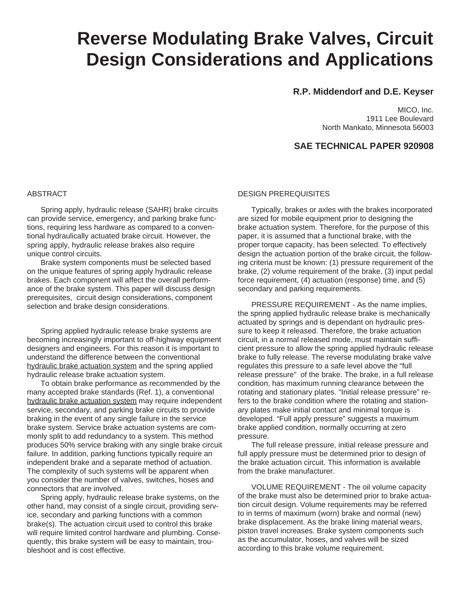# **Reverse Modulating Brake Valves, Circuit Design Considerations and Applications**

## **R.P. Middendorf and D.E. Keyser**

MICO, Inc. 1911 Lee Boulevard North Mankato, Minnesota 56003

## **SAE TECHNICAL PAPER 920908**

### ABSTRACT

Spring apply, hydraulic release (SAHR) brake circuits can provide service, emergency, and parking brake functions, requiring less hardware as compared to a conventional hydraulically actuated brake circuit. However, the spring apply, hydraulic release brakes also require unique control circuits.

Brake system components must be selected based on the unique features of spring apply hydraulic release brakes. Each component will affect the overall performance of the brake system. This paper will discuss design prerequisites, circuit design considerations, component selection and brake design considerations.

Spring applied hydraulic release brake systems are becoming increasingly important to off-highway equipment designers and engineers. For this reason it is important to understand the difference between the conventional hydraulic brake actuation system and the spring applied hydraulic release brake actuation system.

To obtain brake performance as recommended by the many accepted brake standards (Ref. 1), a conventional hydraulic brake actuation system may require independent service, secondary, and parking brake circuits to provide braking in the event of any single failure in the service brake system. Service brake actuation systems are commonly split to add redundancy to a system. This method produces 50% service braking with any single brake circuit failure. In addition, parking functions typically require an independent brake and a separate method of actuation. The complexity of such systems will be apparent when you consider the number of valves, switches, hoses and connectors that are involved.

Spring apply, hydraulic release brake systems, on the other hand, may consist of a single circuit, providing service, secondary and parking functions with a common brake(s). The actuation circuit used to control this brake will require limited control hardware and plumbing. Consequently, this brake system will be easy to maintain, troubleshoot and is cost effective.

#### DESIGN PREREQUISITES

Typically, brakes or axles with the brakes incorporated are sized for mobile equipment prior to designing the brake actuation system. Therefore, for the purpose of this paper, it is assumed that a functional brake, with the proper torque capacity, has been selected. To effectively design the actuation portion of the brake circuit, the following criteria must be known: (1) pressure requirement of the brake, (2) volume requirement of the brake, (3) input pedal force requirement, (4) actuation (response) time, and (5) secondary and parking requirements.

PRESSURE REQUIREMENT - As the name implies, the spring applied hydraulic release brake is mechanically actuated by springs and is dependant on hydraulic pressure to keep it released. Therefore, the brake actuation circuit, in a normal released mode, must maintain sufficient pressure to allow the spring applied hydraulic release brake to fully release. The reverse modulating brake valve regulates this pressure to a safe level above the "full release pressure" of the brake. The brake, in a full release condition, has maximum running clearance between the rotating and stationary plates. "Initial release pressure" refers to the brake condition where the rotating and stationary plates make initial contact and minimal torque is developed. "Full apply pressure" suggests a maximum brake applied condition, normally occurring at zero pressure.

The full release pressure, initial release pressure and full apply pressure must be determined prior to design of the brake actuation circuit. This information is available from the brake manufacturer.

VOLUME REQUIREMENT - The oil volume capacity of the brake must also be determined prior to brake actuation circuit design. Volume requirements may be referred to in terms of maximum (worn) brake and normal (new) brake displacement. As the brake lining material wears, piston travel increases. Brake system components such as the accumulator, hoses, and valves will be sized according to this brake volume requirement.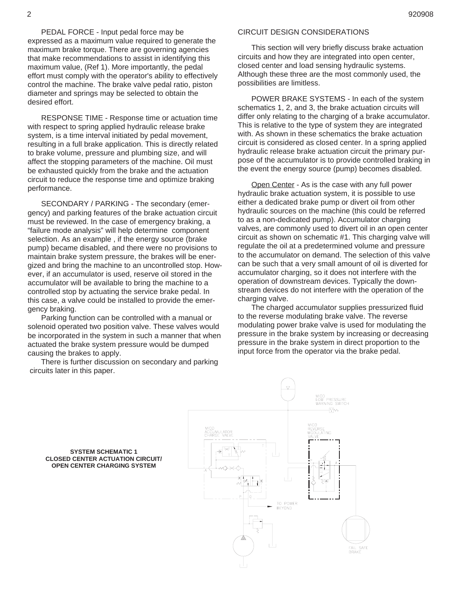PEDAL FORCE - Input pedal force may be expressed as a maximum value required to generate the maximum brake torque. There are governing agencies that make recommendations to assist in identifying this maximum value, (Ref 1). More importantly, the pedal effort must comply with the operator's ability to effectively control the machine. The brake valve pedal ratio, piston diameter and springs may be selected to obtain the desired effort.

RESPONSE TIME - Response time or actuation time with respect to spring applied hydraulic release brake system, is a time interval initiated by pedal movement, resulting in a full brake application. This is directly related to brake volume, pressure and plumbing size, and will affect the stopping parameters of the machine. Oil must be exhausted quickly from the brake and the actuation circuit to reduce the response time and optimize braking performance.

SECONDARY / PARKING - The secondary (emergency) and parking features of the brake actuation circuit must be reviewed. In the case of emergency braking, a "failure mode analysis" will help determine component selection. As an example , if the energy source (brake pump) became disabled, and there were no provisions to maintain brake system pressure, the brakes will be energized and bring the machine to an uncontrolled stop. However, if an accumulator is used, reserve oil stored in the accumulator will be available to bring the machine to a controlled stop by actuating the service brake pedal. In this case, a valve could be installed to provide the emergency braking.

Parking function can be controlled with a manual or solenoid operated two position valve. These valves would be incorporated in the system in such a manner that when actuated the brake system pressure would be dumped causing the brakes to apply.

There is further discussion on secondary and parking circuits later in this paper.

#### CIRCUIT DESIGN CONSIDERATIONS

This section will very briefly discuss brake actuation circuits and how they are integrated into open center, closed center and load sensing hydraulic systems. Although these three are the most commonly used, the possibilities are limitless.

POWER BRAKE SYSTEMS - In each of the system schematics 1, 2, and 3, the brake actuation circuits will differ only relating to the charging of a brake accumulator. This is relative to the type of system they are integrated with. As shown in these schematics the brake actuation circuit is considered as closed center. In a spring applied hydraulic release brake actuation circuit the primary purpose of the accumulator is to provide controlled braking in the event the energy source (pump) becomes disabled.

Open Center - As is the case with any full power hydraulic brake actuation system, it is possible to use either a dedicated brake pump or divert oil from other hydraulic sources on the machine (this could be referred to as a non-dedicated pump). Accumulator charging valves, are commonly used to divert oil in an open center circuit as shown on schematic #1. This charging valve will regulate the oil at a predetermined volume and pressure to the accumulator on demand. The selection of this valve can be such that a very small amount of oil is diverted for accumulator charging, so it does not interfere with the operation of downstream devices. Typically the downstream devices do not interfere with the operation of the charging valve.

The charged accumulator supplies pressurized fluid to the reverse modulating brake valve. The reverse modulating power brake valve is used for modulating the pressure in the brake system by increasing or decreasing pressure in the brake system in direct proportion to the input force from the operator via the brake pedal.

**SYSTEM SCHEMATIC 1 CLOSED CENTER ACTUATION CIRCUIT/ OPEN CENTER CHARGING SYSTEM**

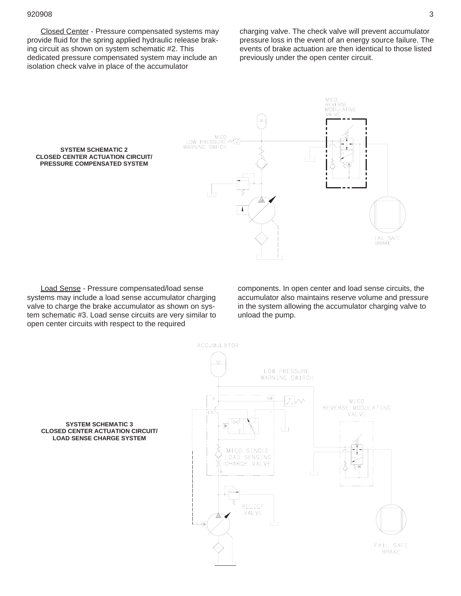#### $920908$   $3$

Closed Center - Pressure compensated systems may provide fluid for the spring applied hydraulic release braking circuit as shown on system schematic #2. This dedicated pressure compensated system may include an isolation check valve in place of the accumulator

charging valve. The check valve will prevent accumulator pressure loss in the event of an energy source failure. The events of brake actuation are then identical to those listed previously under the open center circuit.





Load Sense - Pressure compensated/load sense systems may include a load sense accumulator charging valve to charge the brake accumulator as shown on system schematic #3. Load sense circuits are very similar to open center circuits with respect to the required

components. In open center and load sense circuits, the accumulator also maintains reserve volume and pressure in the system allowing the accumulator charging valve to unload the pump.



**SYSTEM SCHEMATIC 3 CLOSED CENTER ACTUATION CIRCUIT/ LOAD SENSE CHARGE SYSTEM**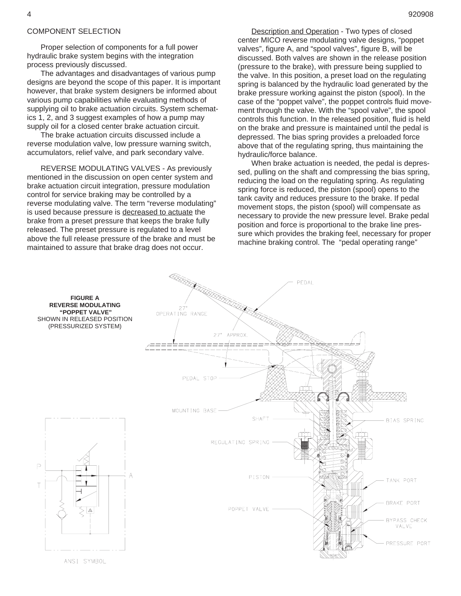Proper selection of components for a full power hydraulic brake system begins with the integration process previously discussed.

The advantages and disadvantages of various pump designs are beyond the scope of this paper. It is important however, that brake system designers be informed about various pump capabilities while evaluating methods of supplying oil to brake actuation circuits. System schematics 1, 2, and 3 suggest examples of how a pump may supply oil for a closed center brake actuation circuit.

The brake actuation circuits discussed include a reverse modulation valve, low pressure warning switch, accumulators, relief valve, and park secondary valve.

REVERSE MODULATING VALVES - As previously mentioned in the discussion on open center system and brake actuation circuit integration, pressure modulation control for service braking may be controlled by a reverse modulating valve. The term "reverse modulating" is used because pressure is decreased to actuate the brake from a preset pressure that keeps the brake fully released. The preset pressure is regulated to a level above the full release pressure of the brake and must be maintained to assure that brake drag does not occur.

Description and Operation - Two types of closed center MICO reverse modulating valve designs, "poppet valves", figure A, and "spool valves", figure B, will be discussed. Both valves are shown in the release position (pressure to the brake), with pressure being supplied to the valve. In this position, a preset load on the regulating spring is balanced by the hydraulic load generated by the brake pressure working against the piston (spool). In the case of the "poppet valve", the poppet controls fluid movement through the valve. With the "spool valve", the spool controls this function. In the released position, fluid is held on the brake and pressure is maintained until the pedal is depressed. The bias spring provides a preloaded force above that of the regulating spring, thus maintaining the hydraulic/force balance.

When brake actuation is needed, the pedal is depressed, pulling on the shaft and compressing the bias spring, reducing the load on the regulating spring. As regulating spring force is reduced, the piston (spool) opens to the tank cavity and reduces pressure to the brake. If pedal movement stops, the piston (spool) will compensate as necessary to provide the new pressure level. Brake pedal position and force is proportional to the brake line pressure which provides the braking feel, necessary for proper machine braking control. The "pedal operating range"

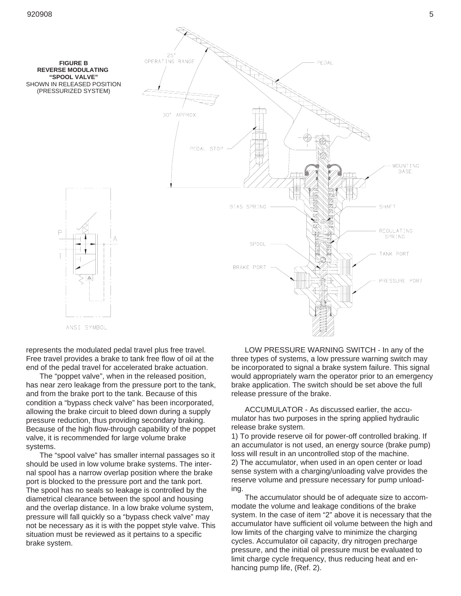**FIGURE B REVERSE MODULATING "SPOOL VALVE"** SHOWN IN RELEASED POSITION (PRESSURIZED SYSTEM)





ANSI SYMBOL

represents the modulated pedal travel plus free travel. Free travel provides a brake to tank free flow of oil at the end of the pedal travel for accelerated brake actuation.

The "poppet valve", when in the released position, has near zero leakage from the pressure port to the tank, and from the brake port to the tank. Because of this condition a "bypass check valve" has been incorporated, allowing the brake circuit to bleed down during a supply pressure reduction, thus providing secondary braking. Because of the high flow-through capability of the poppet valve, it is recommended for large volume brake systems.

The "spool valve" has smaller internal passages so it should be used in low volume brake systems. The internal spool has a narrow overlap position where the brake port is blocked to the pressure port and the tank port. The spool has no seals so leakage is controlled by the diametrical clearance between the spool and housing and the overlap distance. In a low brake volume system, pressure will fall quickly so a "bypass check valve" may not be necessary as it is with the poppet style valve. This situation must be reviewed as it pertains to a specific brake system.

LOW PRESSURE WARNING SWITCH - In any of the three types of systems, a low pressure warning switch may be incorporated to signal a brake system failure. This signal would appropriately warn the operator prior to an emergency brake application. The switch should be set above the full release pressure of the brake.

ACCUMULATOR - As discussed earlier, the accumulator has two purposes in the spring applied hydraulic release brake system.

1) To provide reserve oil for power-off controlled braking. If an accumulator is not used, an energy source (brake pump) loss will result in an uncontrolled stop of the machine. 2) The accumulator, when used in an open center or load sense system with a charging/unloading valve provides the reserve volume and pressure necessary for pump unloading.

The accumulator should be of adequate size to accommodate the volume and leakage conditions of the brake system. In the case of item "2" above it is necessary that the accumulator have sufficient oil volume between the high and low limits of the charging valve to minimize the charging cycles. Accumulator oil capacity, dry nitrogen precharge pressure, and the initial oil pressure must be evaluated to limit charge cycle frequency, thus reducing heat and enhancing pump life, (Ref. 2).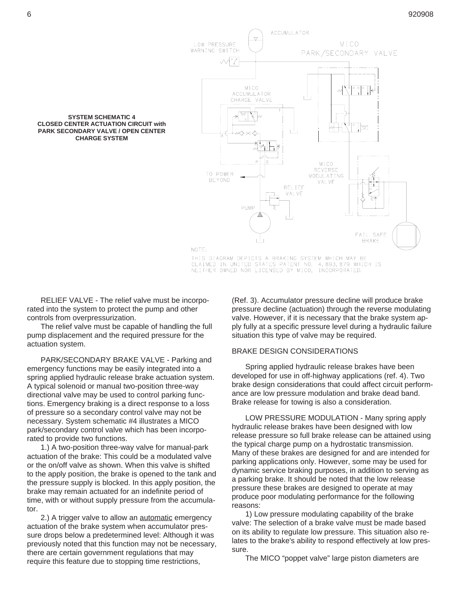

**SYSTEM SCHEMATIC 4 CLOSED CENTER ACTUATION CIRCUIT with PARK SECONDARY VALVE / OPEN CENTER CHARGE SYSTEM**

RELIEF VALVE - The relief valve must be incorporated into the system to protect the pump and other controls from overpressurization.

The relief valve must be capable of handling the full pump displacement and the required pressure for the actuation system.

PARK/SECONDARY BRAKE VALVE - Parking and emergency functions may be easily integrated into a spring applied hydraulic release brake actuation system. A typical solenoid or manual two-position three-way directional valve may be used to control parking functions. Emergency braking is a direct response to a loss of pressure so a secondary control valve may not be necessary. System schematic #4 illustrates a MICO park/secondary control valve which has been incorporated to provide two functions.

1.) A two-position three-way valve for manual-park actuation of the brake: This could be a modulated valve or the on/off valve as shown. When this valve is shifted to the apply position, the brake is opened to the tank and the pressure supply is blocked. In this apply position, the brake may remain actuated for an indefinite period of time, with or without supply pressure from the accumulator.

2.) A trigger valve to allow an automatic emergency actuation of the brake system when accumulator pressure drops below a predetermined level: Although it was previously noted that this function may not be necessary, there are certain government regulations that may require this feature due to stopping time restrictions,

(Ref. 3). Accumulator pressure decline will produce brake pressure decline (actuation) through the reverse modulating valve. However, if it is necessary that the brake system apply fully at a specific pressure level during a hydraulic failure situation this type of valve may be required.

#### BRAKE DESIGN CONSIDERATIONS

Spring applied hydraulic release brakes have been developed for use in off-highway applications (ref. 4). Two brake design considerations that could affect circuit performance are low pressure modulation and brake dead band. Brake release for towing is also a consideration.

LOW PRESSURE MODULATION - Many spring apply hydraulic release brakes have been designed with low release pressure so full brake release can be attained using the typical charge pump on a hydrostatic transmission. Many of these brakes are designed for and are intended for parking applications only. However, some may be used for dynamic service braking purposes, in addition to serving as a parking brake. It should be noted that the low release pressure these brakes are designed to operate at may produce poor modulating performance for the following reasons:

1) Low pressure modulating capability of the brake valve: The selection of a brake valve must be made based on its ability to regulate low pressure. This situation also relates to the brake's ability to respond effectively at low pressure.

The MICO "poppet valve" large piston diameters are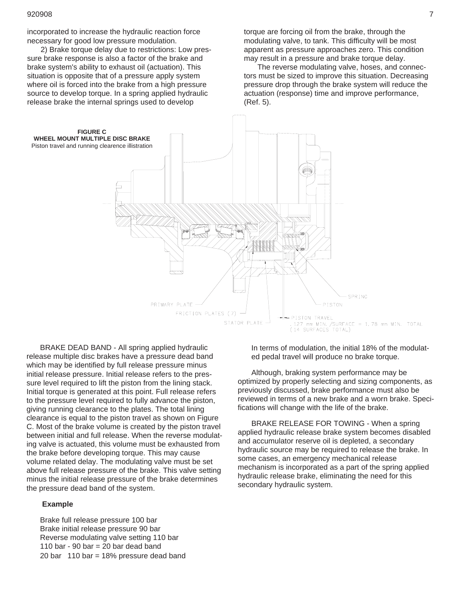#### 920908 7

incorporated to increase the hydraulic reaction force necessary for good low pressure modulation.

2) Brake torque delay due to restrictions: Low pressure brake response is also a factor of the brake and brake system's ability to exhaust oil (actuation). This situation is opposite that of a pressure apply system where oil is forced into the brake from a high pressure source to develop torque. In a spring applied hydraulic release brake the internal springs used to develop

torque are forcing oil from the brake, through the modulating valve, to tank. This difficulty will be most apparent as pressure approaches zero. This condition may result in a pressure and brake torque delay.

The reverse modulating valve, hoses, and connectors must be sized to improve this situation. Decreasing pressure drop through the brake system will reduce the actuation (response) time and improve performance, (Ref. 5).



BRAKE DEAD BAND - All spring applied hydraulic release multiple disc brakes have a pressure dead band which may be identified by full release pressure minus initial release pressure. Initial release refers to the pressure level required to lift the piston from the lining stack. Initial torque is generated at this point. Full release refers to the pressure level required to fully advance the piston, giving running clearance to the plates. The total lining clearance is equal to the piston travel as shown on Figure C. Most of the brake volume is created by the piston travel between initial and full release. When the reverse modulating valve is actuated, this volume must be exhausted from the brake before developing torque. This may cause volume related delay. The modulating valve must be set above full release pressure of the brake. This valve setting minus the initial release pressure of the brake determines the pressure dead band of the system.

#### **Example**

Brake full release pressure 100 bar Brake initial release pressure 90 bar Reverse modulating valve setting 110 bar 110 bar - 90 bar  $= 20$  bar dead band 20 bar  $110$  bar = 18% pressure dead band In terms of modulation, the initial 18% of the modulated pedal travel will produce no brake torque.

Although, braking system performance may be optimized by properly selecting and sizing components, as previously discussed, brake performance must also be reviewed in terms of a new brake and a worn brake. Specifications will change with the life of the brake.

BRAKE RELEASE FOR TOWING - When a spring applied hydraulic release brake system becomes disabled and accumulator reserve oil is depleted, a secondary hydraulic source may be required to release the brake. In some cases, an emergency mechanical release mechanism is incorporated as a part of the spring applied hydraulic release brake, eliminating the need for this secondary hydraulic system.